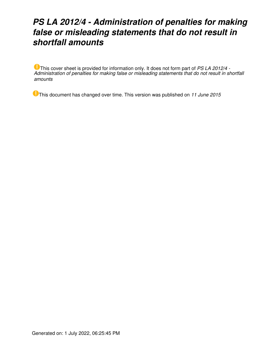# *PS LA 2012/4 - Administration of penalties for making false or misleading statements that do not result in shortfall amounts*

This cover sheet is provided for information only. It does not form part of *PS LA 2012/4 - Administration of penalties for making false or misleading statements that do not result in shortfall amounts*

This document has changed over time. This version was published on *11 June 2015*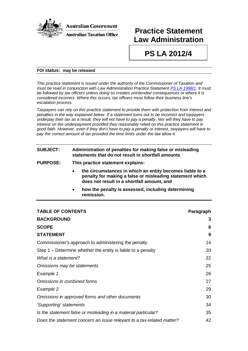

## **Practice Statement Law Administration**

# **PS LA 2012/4**

#### **FOI status: may be released**

*This practice statement is issued under the authority of the Commissioner of Taxation and must be read in conjunction with Law Administration Practice Statement PS LA [1998/1.](http://law.ato.gov.au/view.htm?DocID=PSR/PS19981/NAT/ATO/00001) It must be followed by tax officers unless doing so creates unintended consequences or where it is considered incorrect. Where this occurs, tax officers must follow their business line's escalation process.*

*Taxpayers can rely on this practice statement to provide them with protection from interest and penalties in the way explained below. If a statement turns out to be incorrect and taxpayers underpay their tax as a result, they will not have to pay a penalty. Nor will they have to pay interest on the underpayment provided they reasonably relied on this practice statement in good faith. However, even if they don't have to pay a penalty or interest, taxpayers will have to pay the correct amount of tax provided the time limits under the law allow it.*

## **SUBJECT: Administration of penalties for making false or misleading statements that do not result in shortfall amounts**

- **PURPOSE: This practice statement explains:**
	- **the circumstances in which an entity becomes liable to a penalty for making a false or misleading statement which does not result in a shortfall amount, and**
	- **how the penalty is assessed, including determining remission.**

| <b>TABLE OF CONTENTS</b>                                              | Paragraph |
|-----------------------------------------------------------------------|-----------|
| <b>BACKGROUND</b>                                                     | 3         |
| <b>SCOPE</b>                                                          | 6         |
| <b>STATEMENT</b>                                                      | 9         |
| Commissioner's approach to administering the penalty                  | 14        |
| Step $1$ – Determine whether the entity is liable to a penalty        | 20        |
| What is a statement?                                                  | 22        |
| Omissions may be statements                                           | 25        |
| Example 1                                                             | 26        |
| Omissions in combined forms                                           | 27        |
| Example 2                                                             | 29        |
| Omissions in approved forms and other documents                       | 30        |
| 'Supporting' statements                                               | 34        |
| Is the statement false or misleading in a material particular?        | 35        |
| Does the statement concern an issue relevant to a tax-related matter? | 42        |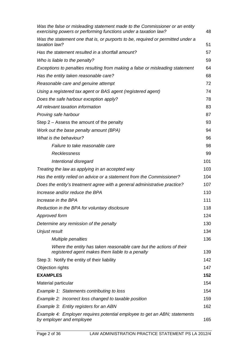| Was the false or misleading statement made to the Commissioner or an entity<br>exercising powers or performing functions under a taxation law? | 48  |
|------------------------------------------------------------------------------------------------------------------------------------------------|-----|
| Was the statement one that is, or purports to be, required or permitted under a<br>taxation law?                                               | 51  |
| Has the statement resulted in a shortfall amount?                                                                                              | 57  |
| Who is liable to the penalty?                                                                                                                  | 59  |
| Exceptions to penalties resulting from making a false or misleading statement                                                                  | 64  |
| Has the entity taken reasonable care?                                                                                                          | 68  |
| Reasonable care and genuine attempt                                                                                                            | 72  |
| Using a registered tax agent or BAS agent (registered agent)                                                                                   | 74  |
| Does the safe harbour exception apply?                                                                                                         | 78  |
| All relevant taxation information                                                                                                              | 83  |
| Proving safe harbour                                                                                                                           | 87  |
| Step $2 -$ Assess the amount of the penalty                                                                                                    | 93  |
| Work out the base penalty amount (BPA)                                                                                                         | 94  |
| What is the behaviour?                                                                                                                         | 96  |
| Failure to take reasonable care                                                                                                                | 98  |
| Recklessness                                                                                                                                   | 99  |
| Intentional disregard                                                                                                                          | 101 |
| Treating the law as applying in an accepted way                                                                                                | 103 |
| Has the entity relied on advice or a statement from the Commissioner?                                                                          | 104 |
| Does the entity's treatment agree with a general administrative practice?                                                                      | 107 |
| Increase and/or reduce the BPA                                                                                                                 | 110 |
| Increase in the BPA                                                                                                                            | 111 |
| Reduction in the BPA for voluntary disclosure                                                                                                  | 118 |
| Approved form                                                                                                                                  | 124 |
| Determine any remission of the penalty                                                                                                         | 130 |
| Unjust result                                                                                                                                  | 134 |
| <b>Multiple penalties</b>                                                                                                                      | 136 |
| Where the entity has taken reasonable care but the actions of their<br>registered agent makes them liable to a penalty                         | 139 |
| Step 3: Notify the entity of their liability                                                                                                   | 142 |
| Objection rights                                                                                                                               | 147 |
| <b>EXAMPLES</b>                                                                                                                                | 152 |
| Material particular                                                                                                                            | 154 |
| Example 1: Statements contributing to loss                                                                                                     | 154 |
| Example 2: Incorrect loss changed to taxable position                                                                                          | 159 |
| Example 3: Entity registers for an ABN                                                                                                         | 162 |
| Example 4: Employer requires potential employee to get an ABN; statements<br>by employer and employee                                          | 165 |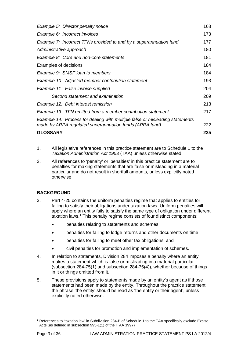| Example 5: Director penalty notice                                           | 168 |
|------------------------------------------------------------------------------|-----|
| Example 6: Incorrect invoices                                                | 173 |
| Example 7: Incorrect TFNs provided to and by a superannuation fund           | 177 |
| Administrative approach                                                      | 180 |
| Example 8: Core and non-core statements                                      | 181 |
| Examples of decisions                                                        | 184 |
| Example 9: SMSF loan to members                                              | 184 |
| Example 10: Adjusted member contribution statement                           | 193 |
| Example 11: False invoice supplied                                           | 204 |
| Second statement and examination                                             | 209 |
| Example 12: Debt interest remission                                          | 213 |
| Example 13: TFN omitted from a member contribution statement                 | 217 |
| Example 14: Process for dealing with multiple false or misleading statements |     |
| made by ARPA regulated superannuation funds (APRA fund)                      | 222 |
| <b>GLOSSARY</b>                                                              | 235 |

- 1. All legislative references in this practice statement are to Schedule 1 to the *Taxation Administration Act 1953* (TAA) unless otherwise stated.
- 2. All references to 'penalty' or 'penalties' in this practice statement are to penalties for making statements that are false or misleading in a material particular and do not result in shortfall amounts, unless explicitly noted otherwise.

## **BACKGROUND**

- 3. Part 4-25 contains the uniform penalties regime that applies to entities for failing to satisfy their obligations under taxation laws. Uniform penalties will apply where an entity fails to satisfy the same type of obligation under different taxation laws. [1](#page-3-0) This penalty regime consists of four distinct components:
	- penalties relating to statements and schemes
	- penalties for failing to lodge returns and other documents on time
	- penalties for failing to meet other tax obligations, and
	- civil penalties for promotion and implementation of schemes.
- 4. In relation to statements, Division 284 imposes a penalty where an entity makes a statement which is false or misleading in a material particular (subsection 284-75(1) and subsection 284-75(4)), whether because of things in it or things omitted from it.
- 5. These provisions apply to statements made by an entity's agent as if those statements had been made by the entity. Throughout the practice statement the phrase 'the entity' should be read as 'the entity or their agent', unless explicitly noted otherwise.

<span id="page-3-0"></span>*<sup>1</sup>* References to 'taxation law' in Subdivision 284-B of Schedule 1 to the TAA specifically exclude Excise Acts (as defined in subsection 995-1(1) of the ITAA 1997)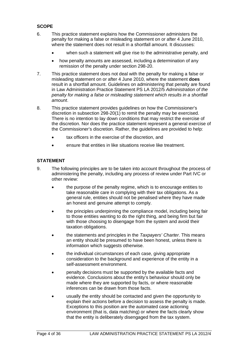## **SCOPE**

- 6. This practice statement explains how the Commissioner administers the penalty for making a false or misleading statement on or after 4 June 2010, where the statement does not result in a shortfall amount. It discusses:
	- when such a statement will give rise to the administrative penalty, and
	- how penalty amounts are assessed, including a determination of any remission of the penalty under section 298-20.
- 7. This practice statement does not deal with the penalty for making a false or misleading statement on or after 4 June 2010, where the statement **does** result in a shortfall amount. Guidelines on administering that penalty are found in Law Administration Practice Statement PS LA 2012/5 *Administration of the penalty for making a false or misleading statement which results in a shortfall amount*.
- 8. This practice statement provides guidelines on how the Commissioner's discretion in subsection 298-20(1) to remit the penalty may be exercised. There is no intention to lay down conditions that may restrict the exercise of the discretion. Nor does the practice statement represent a general exercise of the Commissioner's discretion. Rather, the guidelines are provided to help:
	- tax officers in the exercise of the discretion, and
	- ensure that entities in like situations receive like treatment.

## **STATEMENT**

- 9. The following principles are to be taken into account throughout the process of administering the penalty, including any process of review under Part IVC or other review:
	- the purpose of the penalty regime, which is to encourage entities to take reasonable care in complying with their tax obligations. As a general rule, entities should not be penalised where they have made an honest and genuine attempt to comply.
	- the principles underpinning the compliance model, including being fair to those entities wanting to do the right thing, and being firm but fair with those choosing to disengage from the system and avoid their taxation obligations.
	- the statements and principles in the *Taxpayers' Charter*. This means an entity should be presumed to have been honest, unless there is information which suggests otherwise.
	- the individual circumstances of each case, giving appropriate consideration to the background and experience of the entity in a self-assessment environment.
	- penalty decisions must be supported by the available facts and evidence. Conclusions about the entity's behaviour should only be made where they are supported by facts, or where reasonable inferences can be drawn from those facts.
	- usually the entity should be contacted and given the opportunity to explain their actions before a decision to assess the penalty is made. Exceptions to this position are the automated case actioning environment (that is, data matching) or where the facts clearly show that the entity is deliberately disengaged from the tax system.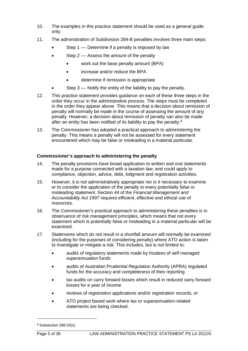- 10. The examples in this practice statement should be used as a general guide only.
- 11. The administration of Subdivision 284-B penalties involves three main steps:
	- Step 1 –– Determine if a penalty is imposed by law
	- Step 2 Assess the amount of the penalty
		- work out the base penalty amount (BPA)
		- increase and/or reduce the BPA
		- determine if remission is appropriate
	- Step 3 –– Notify the entity of the liability to pay the penalty.
- 12. This practice statement provides guidance on each of these three steps in the order they occur in the administrative process. The steps must be completed in the order they appear above. This means that a decision about remission of penalty will normally be made in the course of assessing the amount of any penalty. However, a decision about remission of penalty can also be made after an entity has been notified of its liability to pay the penalty.*[2](#page-5-0)*
- 13. The Commissioner has adopted a practical approach to administering the penalty. This means a penalty will not be assessed for every statement encountered which may be false or misleading in a material particular.

## **Commissioner's approach to administering the penalty**

- 14. The penalty provisions have broad application to written and oral statements made for a purpose connected with a taxation law, and could apply to compliance, objection, advice, debt, lodgment and registration activities.
- 15. However, it is not administratively appropriate nor is it necessary to examine or to consider the application of the penalty to every potentially false or misleading statement. Section 44 of the *Financial Management and Accountability Act 1997* requires efficient, effective and ethical use of resources.
- 16. The Commissioner's practical approach to administering these penalties is in observance of risk management principles, which means that not every statement which is potentially false or misleading in a material particular will be examined.
- 17. Statements which do not result in a shortfall amount will normally be examined (including for the purposes of considering penalty) where ATO action is taken to investigate or mitigate a risk. This includes, but is not limited to:
	- audits of regulatory statements made by trustees of self managed superannuation funds
	- audits of Australian Prudential Regulation Authority (APRA) regulated funds for the accuracy and completeness of their reporting
	- tax audits on carry forward losses which result in reduced carry forward losses for a year of income
	- reviews of registration applications and/or registration records, or
	- ATO project based work where tax or superannuation-related statements are being checked.

<span id="page-5-0"></span>*<sup>2</sup>* Subsection 298-20(1)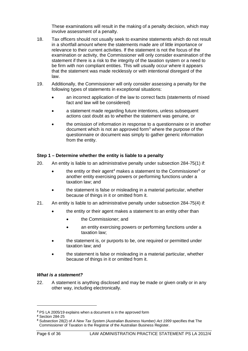These examinations will result in the making of a penalty decision, which may involve assessment of a penalty.

- 18. Tax officers should not usually seek to examine statements which do not result in a shortfall amount where the statements made are of little importance or relevance to their current activities. If the statement is not the focus of the examination or activity, the Commissioner will only consider examination of the statement if there is a risk to the integrity of the taxation system or a need to be firm with non compliant entities. This will usually occur where it appears that the statement was made recklessly or with intentional disregard of the law.
- 19. Additionally, the Commissioner will only consider assessing a penalty for the following types of statements in exceptional situations:
	- an incorrect application of the law to correct facts (statements of mixed fact and law will be considered)
	- a statement made regarding future intentions, unless subsequent actions cast doubt as to whether the statement was genuine, or
	- the omission of information in response to a questionnaire or in another document which is not an approved form<sup>[3](#page-6-0)</sup> where the purpose of the questionnaire or document was simply to gather generic information from the entity.

#### **Step 1 – Determine whether the entity is liable to a penalty**

- 20. An entity is liable to an administrative penalty under subsection 284-75(1) if:
	- the entity or their agent<sup>4</sup> makes a statement to the Commissioner<sup>[5](#page-6-2)</sup> or another entity exercising powers or performing functions under a taxation law; and
	- the statement is false or misleading in a material particular, whether because of things in it or omitted from it.
- 21. An entity is liable to an administrative penalty under subsection 284-75(4) if:
	- the entity or their agent makes a statement to an entity other than
		- the Commissioner; and
		- an entity exercising powers or performing functions under a taxation law;
	- the statement is, or purports to be, one required or permitted under taxation law; and
	- the statement is false or misleading in a material particular, whether because of things in it or omitted from it.

#### *What is a statement?*

22. A statement is anything disclosed and may be made or given orally or in any other way, including electronically.

<span id="page-6-0"></span>*<sup>3</sup>* PS LA 2005/19 explains when a document is in the approved form

<span id="page-6-1"></span>*<sup>4</sup>* Section 284-25

<span id="page-6-2"></span>*<sup>5</sup>* Subsection 28(2) of *A New Tax System (Australian Business Number) Act 1999* specifies that The Commissioner of Taxation is the Registrar of the Australian Business Register.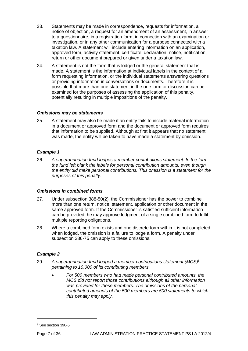- 23. Statements may be made in correspondence, requests for information, a notice of objection, a request for an amendment of an assessment, in answer to a questionnaire, in a registration form, in connection with an examination or investigation, or in any other communication for a purpose connected with a taxation law. A statement will include entering information on an application, approved form, activity statement, certificate, declaration, notice, notification, return or other document prepared or given under a taxation law.
- 24. A statement is not the form that is lodged or the general statement that is made. A statement is the information at individual labels in the context of a form requesting information, or the individual statements answering questions or providing information in conversations or documents. Therefore it is possible that more than one statement in the one form or discussion can be examined for the purposes of assessing the application of this penalty, potentially resulting in multiple impositions of the penalty.

#### *Omissions may be statements*

25. A statement may also be made if an entity fails to include material information in a document or approved form and the document or approved form requires that information to be supplied. Although at first it appears that no statement was made, the entity will be taken to have made a statement by omission.

## *Example 1*

26. *A superannuation fund lodges a member contributions statement. In the form the fund left blank the labels for personal contribution amounts, even though the entity did make personal contributions. This omission is a statement for the purposes of this penalty.*

#### *Omissions in combined forms*

- 27. Under subsection 388-50(2), the Commissioner has the power to combine more than one return, notice, statement, application or other document in the same approved form. If the Commissioner is satisfied sufficient information can be provided, he may approve lodgment of a single combined form to fulfil multiple reporting obligations.
- 28. Where a combined form exists and one discrete form within it is not completed when lodged, the omission is a failure to lodge a form. A penalty under subsection 286-75 can apply to these omissions.

## *Example 2*

- 29. *A superannuation fund lodged a member contributions statement (MCS)*[6](#page-7-0) *pertaining to 10,000 of its contributing members.*
	- *For 500 members who had made personal contributed amounts, the MCS did not report those contributions although all other information was provided for these members. The omissions of the personal contributed amounts of the 500 members are 500 statements to which this penalty may apply.*

<span id="page-7-0"></span>*<sup>6</sup>* See section 390-5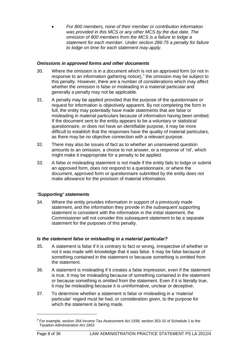• *For 800 members, none of their member or contribution information was provided in this MCS or any other MCS by the due date. The omission of 800 members from the MCS is a failure to lodge a statement for each member. Under section 286-75 a penalty for failure to lodge on time for each statement may apply.*

## *Omissions in approved forms and other documents*

- 30. Where the omission is in a document which is not an approved form (or not in response to an information gathering notice),<sup>[7](#page-8-0)</sup> the omission may be subject to this penalty. However, there are a number of considerations which may affect whether the omission is false or misleading in a material particular and generally a penalty may not be applicable.
- 31. A penalty may be applied provided that the purpose of the questionnaire or request for information is objectively apparent. By not completing the form in full, the entity may potentially have made statements that are false or misleading in material particulars because of information having been omitted. If the document sent to the entity appears to be a voluntary or statistical questionnaire, or does not have an identifiable purpose, it may be more difficult to establish that the responses have the quality of material particulars, as there may be no objective connection with a relevant purpose.
- 32. There may also be issues of fact as to whether an unanswered question amounts to an omission, a choice to not answer, or a response of 'nil', which might make it inappropriate for a penalty to be applied.
- 33. A false or misleading statement is not made if the entity fails to lodge or submit an approved form, does not respond to a questionnaire, or where the document, approved form or questionnaire submitted by the entity does not make allowance for the provision of material information.

## *'Supporting' statements*

34. Where the entity provides information in support of a previously made statement, and the information they provide in the subsequent supporting statement is consistent with the information in the initial statement, the Commissioner will not consider this subsequent statement to be a separate statement for the purposes of this penalty.

## *Is the statement false or misleading in a material particular?*

- 35. A statement is false if it is contrary to fact or wrong, irrespective of whether or not it was made with knowledge that it was false. It may be false because of something contained in the statement or because something is omitted from the statement.
- 36. A statement is misleading if it creates a false impression, even if the statement is true. It may be misleading because of something contained in the statement or because something is omitted from the statement. Even if it is literally true, it may be misleading because it is uninformative, unclear or deceptive.
- 37. To determine whether a statement is false or misleading in a 'material particular' regard must be had, or consideration given, to the purpose for which the statement is being made.

<span id="page-8-0"></span>*<sup>7</sup>* For example, section 264 *Income Tax Assessment Act 1936*; section 353-10 of Schedule 1 to the *Taxation Administration Act 1953*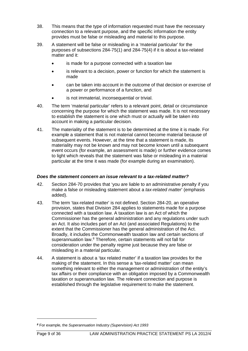- 38. This means that the type of information requested must have the necessary connection to a relevant purpose, and the specific information the entity provides must be false or misleading and material to this purpose.
- 39. A statement will be false or misleading in a 'material particular' for the purposes of subsections 284-75(1) and 284-75(4) if it is about a tax-related matter and it:
	- is made for a purpose connected with a taxation law
	- is relevant to a decision, power or function for which the statement is made
	- can be taken into account in the outcome of that decision or exercise of a power or performance of a function, and
	- is not immaterial, inconsequential or trivial.
- 40. The term 'material particular' refers to a relevant point, detail or circumstance concerning the purpose for which the statement was made. It is not necessary to establish the statement is one which must or actually will be taken into account in making a particular decision.
- 41. The materiality of the statement is to be determined at the time it is made. For example a statement that is not material cannot become material because of subsequent events. However, at the time that a statement is made, its materiality may not be known and may not become known until a subsequent event occurs (for example, an assessment is made) or further evidence comes to light which reveals that the statement was false or misleading in a material particular at the time it was made (for example during an examination).

#### *Does the statement concern an issue relevant to a tax-related matter?*

- 42. Section 284-70 provides that 'you are liable to an administrative penalty if you make a false or misleading statement about a *tax-related matter*' (emphasis added).
- 43. The term 'tax-related matter' is not defined. Section 284-20, an operative provision, states that Division 284 applies to statements made for a purpose connected with a taxation law. A taxation law is an Act of which the Commissioner has the general administration and any regulations under such an Act. It also includes part of an Act (and associated Regulations) to the extent that the Commissioner has the general administration of the Act. Broadly, it includes the Commonwealth taxation law and certain sections of superannuation law.<sup>[8](#page-9-0)</sup> Therefore, certain statements will not fall for consideration under the penalty regime just because they are false or misleading in a material particular.
- 44. A statement is about a 'tax related matter' if a taxation law provides for the making of the statement. In this sense a 'tax-related matter' can mean something relevant to either the management or administration of the entity's tax affairs or their compliance with an obligation imposed by a Commonwealth taxation or superannuation law. The relevant connection and purpose is established through the legislative requirement to make the statement.

<span id="page-9-0"></span>*<sup>8</sup>* For example, the *Superannuation Industry (Supervision) Act 1993*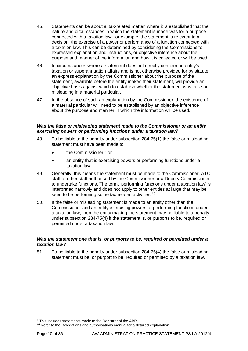- 45. Statements can be about a 'tax-related matter' where it is established that the nature and circumstances in which the statement is made was for a purpose connected with a taxation law; for example, the statement is relevant to a decision, the exercise of a power or performance of a function connected with a taxation law. This can be determined by considering the Commissioner's expressed explanation and instructions, or objective inference about the purpose and manner of the information and how it is collected or will be used.
- 46. In circumstances where a statement does not directly concern an entity's taxation or superannuation affairs and is not otherwise provided for by statute, an express explanation by the Commissioner about the purpose of the statement, available before the entity makes their statement, will provide an objective basis against which to establish whether the statement was false or misleading in a material particular.
- 47. In the absence of such an explanation by the Commissioner, the existence of a material particular will need to be established by an objective inference about the purpose and manner in which the information will be used.

#### *Was the false or misleading statement made to the Commissioner or an entity exercising powers or performing functions under a taxation law?*

- 48. To be liable to the penalty under subsection 284-75(1) the false or misleading statement must have been made to:
	- the Commissioner,<sup>[9](#page-10-0)</sup> or
	- an entity that is exercising powers or performing functions under a taxation law.
- 49. Generally, this means the statement must be made to the Commissioner, ATO staff or other staff authorised by the Commissioner or a Deputy Commissioner to undertake functions. The term, 'performing functions under a taxation law' is interpreted narrowly and does not apply to other entities at large that may be seen to be performing some tax-related activities.<sup>[10](#page-10-1)</sup>
- 50. If the false or misleading statement is made to an entity other than the Commissioner and an entity exercising powers or performing functions under a taxation law, then the entity making the statement may be liable to a penalty under subsection 284-75(4) if the statement is, or purports to be, required or permitted under a taxation law.

#### *Was the statement one that is, or purports to be, required or permitted under a taxation law?*

51. To be liable to the penalty under subsection 284-75(4) the false or misleading statement must be, or purport to be, required or permitted by a taxation law.

<span id="page-10-0"></span>*<sup>9</sup>* This includes statements made to the Registrar of the ABR

<span id="page-10-1"></span>*<sup>10</sup>* Refer to the Delegations and authorisations manual for a detailed explanation.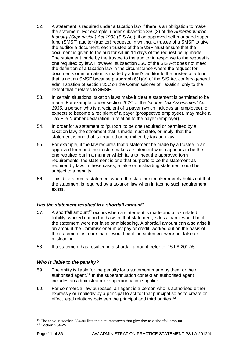- 52. A statement is required under a taxation law if there is an obligation to make the statement. For example, under subsection 35C(2) of the *Superannuation Industry (Supervision) Act 1993* (SIS Act), if an approved self-managed super fund (SMSF) auditor (auditor) requests, in writing, a trustee of a SMSF to give the auditor a document, each trustee of the SMSF must ensure that the document is given to the auditor within 14 days of the request being made. The statement made by the trustee to the auditor in response to the request is one required by law. However, subsection 35C of the SIS Act does not meet the definition of a taxation law in the circumstance where the request for documents or information is made by a fund's auditor to the trustee of a fund that is not an SMSF because paragraph 6(1)(e) of the SIS Act confers general administration of section 35C on the Commissioner of Taxation, only to the extent that it relates to SMSF.
- 53. In certain situations, taxation laws make it clear a statement is permitted to be made. For example, under section 202C of the *Income Tax Assessment Act 1936*, a person who is a recipient of a payer (which includes an employee), or expects to become a recipient of a payer (prospective employee), may make a Tax File Number declaration in relation to the payer (employer).
- 54. In order for a statement to 'purport' to be one required or permitted by a taxation law, the statement that is made must state, or imply, that the statement is one that is required or permitted by taxation law.
- 55. For example, if the law requires that a statement be made by a trustee in an approved form and the trustee makes a statement which appears to be the one required but in a manner which fails to meet the approved form requirements, the statement is one that purports to be the statement as required by law. In these cases, a false or misleading statement could be subject to a penalty.
- 56. This differs from a statement where the statement maker merely holds out that the statement is required by a taxation law when in fact no such requirement exists.

#### *Has the statement resulted in a shortfall amount?*

- 57. A shortfall amount**[11](#page-11-0)** occurs when a statement is made and a tax-related liability, worked out on the basis of that statement, is less than it would be if the statement were not false or misleading. A shortfall amount can also arise if an amount the Commissioner must pay or credit, worked out on the basis of the statement, is more than it would be if the statement were not false or misleading.
- 58. If a statement has resulted in a shortfall amount, refer to PS LA 2012/5.

## *Who is liable to the penalty?*

- 59. The entity is liable for the penalty for a statement made by them or their authorised agent.<sup>[12](#page-11-1)</sup> In the superannuation context an authorised agent includes an administrator or superannuation supplier.
- 60. For commercial law purposes, an agent is a person who is authorised either expressly or impliedly by a principal to act for that principal so as to create or effect legal relations between the principal and third parties.<sup>[13](#page-11-2)</sup>

<span id="page-11-2"></span><span id="page-11-1"></span><span id="page-11-0"></span>**<sup>11</sup>** The table in section 284-80 lists the circumstances that give rise to a shortfall amount. *<sup>12</sup>* Section 284-25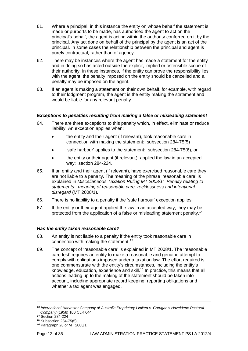- 61. Where a principal, in this instance the entity on whose behalf the statement is made or purports to be made, has authorised the agent to act on the principal's behalf, the agent is acting within the authority conferred on it by the principal. Any act done on behalf of the principal by the agent is an act of the principal. In some cases the relationship between the principal and agent is purely contractual, rather than of agency.
- 62. There may be instances where the agent has made a statement for the entity and in doing so has acted outside the explicit, implied or ostensible scope of their authority. In these instances, if the entity can prove the responsibility lies with the agent, the penalty imposed on the entity should be cancelled and a penalty may be imposed on the agent.
- 63. If an agent is making a statement on their own behalf, for example, with regard to their lodgment program, the agent is the entity making the statement and would be liable for any relevant penalty.

#### *Exceptions to penalties resulting from making a false or misleading statement*

- 64. There are three exceptions to this penalty which, in effect, eliminate or reduce liability. An exception applies when:
	- the entity and their agent (if relevant), took reasonable care in connection with making the statement: subsection 284-75(5)
	- 'safe harbour' applies to the statement: subsection 284-75(6), or
	- the entity or their agent (if relevant), applied the law in an accepted way: section 284-224.
- 65. If an entity and their agent (if relevant), have exercised reasonable care they are not liable to a penalty. The meaning of the phrase 'reasonable care' is explained in *Miscellaneous Taxation Ruling MT 2008/1: Penalty relating to statements: meaning of reasonable care, recklessness and intentional disregard* (MT 2008/1)*.*
- 66. There is no liability to a penalty if the 'safe harbour' exception applies.
- 67. If the entity or their agent applied the law in an accepted way, they may be protected from the application of a false or misleading statement penalty.<sup>[14](#page-12-0)</sup>

#### *Has the entity taken reasonable care?*

- 68. An entity is not liable to a penalty if the entity took reasonable care in connection with making the statement.[15](#page-12-1)
- 69. The concept of 'reasonable care' is explained in MT 2008/1. The 'reasonable care test' requires an entity to make a reasonable and genuine attempt to comply with obligations imposed under a taxation law. The effort required is one commensurate with the entity's circumstances, including the entity's knowledge, education, experience and skill.<sup>[16](#page-12-2)</sup> In practice, this means that all actions leading up to the making of the statement should be taken into account, including appropriate record keeping, reporting obligations and whether a tax agent was engaged.

*<sup>13</sup> International Harvester Company of Australia Proprietary Limited v. Carrigan's Hazeldene Pastoral Company* (1958) 100 CLR 644.

<span id="page-12-0"></span>*<sup>14</sup>* Section 284-224

<span id="page-12-1"></span>*<sup>15</sup>* Subsection 284-75(5)

<span id="page-12-2"></span>*<sup>16</sup>* Paragraph 28 of MT 2008/1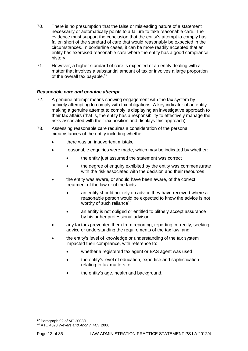- 70. There is no presumption that the false or misleading nature of a statement necessarily or automatically points to a failure to take reasonable care. The evidence must support the conclusion that the entity's attempt to comply has fallen short of the standard of care that would reasonably be expected in the circumstances. In borderline cases, it can be more readily accepted that an entity has exercised reasonable care where the entity has a good compliance history.
- 71. However, a higher standard of care is expected of an entity dealing with a matter that involves a substantial amount of tax or involves a large proportion of the overall tax payable. *[17](#page-13-0)*

#### *Reasonable care and genuine attempt*

- 72. A genuine attempt means showing engagement with the tax system by actively attempting to comply with tax obligations. A key indicator of an entity making a genuine attempt to comply is displaying an investigative approach to their tax affairs (that is, the entity has a responsibility to effectively manage the risks associated with their tax position and displays this approach).
- 73. Assessing reasonable care requires a consideration of the personal circumstances of the entity including whether:
	- there was an inadvertent mistake
	- reasonable enquiries were made, which may be indicated by whether:
		- the entity just assumed the statement was correct
		- the degree of enquiry exhibited by the entity was commensurate with the risk associated with the decision and their resources
	- the entity was aware, or should have been aware, of the correct treatment of the law or of the facts:
		- an entity should not rely on advice they have received where a reasonable person would be expected to know the advice is not worthy of such reliance<sup>[18](#page-13-1)</sup>
		- an entity is not obliged or entitled to blithely accept assurance by his or her professional advisor
	- any factors prevented them from reporting, reporting correctly, seeking advice or understanding the requirements of the tax law, and
	- the entity's level of knowledge or understanding of the tax system impacted their compliance, with reference to:
		- whether a registered tax agent or BAS agent was used
		- the entity's level of education, expertise and sophistication relating to tax matters, or
		- the entity's age, health and background.

<span id="page-13-1"></span><span id="page-13-0"></span>*<sup>17</sup>* Paragraph 92 of MT 2008/1

*<sup>18</sup>* ATC 4523 *Weyers and Anor v. FCT* 2006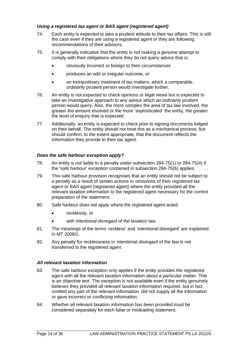## *Using a registered tax agent or BAS agent (registered agent)*

- 74. Each entity is expected to take a prudent attitude to their tax affairs. This is still the case even if they are using a registered agent or they are following recommendations of their advisors.
- 75. It is generally indicative that the entity is not making a genuine attempt to comply with their obligations where they do not query advice that is:
	- obviously incorrect or foreign to their circumstances
	- produces an odd or irregular outcome, or
	- an extraordinary treatment of tax matters, which a comparable, ordinarily prudent person would investigate further.
- 76. An entity is not expected to check opinions or legal views but is expected to take an investigative approach to any advice which an ordinarily prudent person would query. Also, the more complex the area of tax law involved, the greater the amount involved or the more 'sophisticated' the entity, the greater the level of enquiry that is expected.
- 77. Additionally, an entity is expected to check prior to signing documents lodged on their behalf. The entity should not treat this as a mechanical process, but should confirm, to the extent appropriate, that the document reflects the information they provide to their tax agent.

#### *Does the safe harbour exception apply?*

- 78. An entity is not liable to a penalty under subsection 284-75(1) or 284-75(4) if the 'safe harbour' exception contained in subsection 284-75(6) applies.
- 79. This safe harbour provision recognises that an entity should not be subject to a penalty as a result of certain actions or omissions of their registered tax agent or BAS agent (registered agent) where the entity provided all the relevant taxation information to the registered agent necessary for the correct preparation of the statement.
- 80. Safe harbour does not apply where the registered agent acted:
	- recklessly, or
	- with intentional disregard of the taxation law.
- 81. The meanings of the terms 'reckless' and 'intentional disregard' are explained in MT 2008/1.
- 82. Any penalty for recklessness or intentional disregard of the law is not transferred to the registered agent.

## *All relevant taxation information*

- 83. The safe harbour exception only applies if the entity provides the registered agent with all the relevant taxation information about a particular matter. This is an objective test. The exception is not available even if the entity genuinely believes they provided all relevant taxation information required, but in fact omitted any part of the relevant information, did not supply all the information or gave incorrect or conflicting information.
- 84. Whether all relevant taxation information has been provided must be considered separately for each false or misleading statement.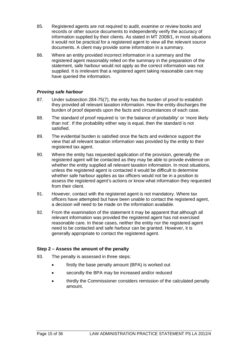- 85. Registered agents are not required to audit, examine or review books and records or other source documents to independently verify the accuracy of information supplied by their clients. As stated in MT 2008/1, in most situations it would not be practical for a registered agent to view all the relevant source documents. A client may provide some information in a summary.
- 86. Where an entity provided incorrect information in a summary and the registered agent reasonably relied on the summary in the preparation of the statement, safe harbour would not apply as the correct information was not supplied. It is irrelevant that a registered agent taking reasonable care may have queried the information.

## *Proving safe harbour*

- 87. Under subsection 284-75(7), the entity has the burden of proof to establish they provided all relevant taxation information. How the entity discharges the burden of proof depends upon the facts and circumstances of each case.
- 88. The standard of proof required is 'on the balance of probability' or 'more likely than not'. If the probability either way is equal, then the standard is not satisfied.
- 89. The evidential burden is satisfied once the facts and evidence support the view that all relevant taxation information was provided by the entity to their registered tax agent.
- 90. Where the entity has requested application of the provision, generally the registered agent will be contacted as they may be able to provide evidence on whether the entity supplied all relevant taxation information. In most situations, unless the registered agent is contacted it would be difficult to determine whether safe harbour applies as tax officers would not be in a position to assess the registered agent's actions or know what information they requested from their client.
- 91. However, contact with the registered agent is not mandatory. Where tax officers have attempted but have been unable to contact the registered agent, a decision will need to be made on the information available.
- 92. From the examination of the statement it may be apparent that although all relevant information was provided the registered agent has not exercised reasonable care. In these cases, neither the entity nor the registered agent need to be contacted and safe harbour can be granted. However, it is generally appropriate to contact the registered agent.

## **Step 2 – Assess the amount of the penalty**

- 93. The penalty is assessed in three steps:
	- firstly the base penalty amount (BPA) is worked out
	- secondly the BPA may be increased and/or reduced
	- thirdly the Commissioner considers remission of the calculated penalty amount.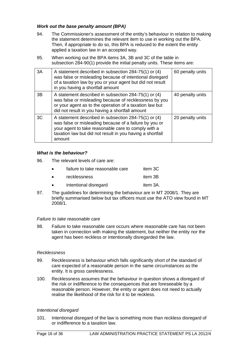## *Work out the base penalty amount (BPA)*

- 94. The Commissioner's assessment of the entity's behaviour in relation to making the statement determines the relevant item to use in working out the BPA. Then, if appropriate to do so, this BPA is reduced to the extent the entity applied a taxation law in an accepted way.
- 95. When working out the BPA items 3A, 3B and 3C of the table in subsection 284-90(1) provide the initial penalty units. These items are:

| 3A | A statement described in subsection 284-75(1) or (4)<br>was false or misleading because of intentional disregard<br>of a taxation law by you or your agent but did not result<br>in you having a shortfall amount                            | 60 penalty units |
|----|----------------------------------------------------------------------------------------------------------------------------------------------------------------------------------------------------------------------------------------------|------------------|
| 3B | A statement described in subsection 284-75(1) or (4)<br>was false or misleading because of recklessness by you<br>or your agent as to the operation of a taxation law but<br>did not result in you having a shortfall amount                 | 40 penalty units |
| 3C | A statement described in subsection 284-75(1) or (4)<br>was false or misleading because of a failure by you or<br>your agent to take reasonable care to comply with a<br>taxation law but did not result in you having a shortfall<br>amount | 20 penalty units |

#### *What is the behaviour?*

96. The relevant levels of care are:

| failure to take reasonable care | item 3C  |
|---------------------------------|----------|
| <b>recklessness</b>             | item 3B  |
| intentional disregard           | item 3A. |

97. The guidelines for determining the behaviour are in MT 2008/1. They are briefly summarised below but tax officers must use the ATO view found in MT 2008/1.

#### *Failure to take reasonable care*

98. Failure to take reasonable care occurs where reasonable care has not been taken in connection with making the statement, but neither the entity nor the agent has been reckless or intentionally disregarded the law.

#### *Recklessness*

- 99. Recklessness is behaviour which falls significantly short of the standard of care expected of a reasonable person in the same circumstances as the entity. It is gross carelessness.
- 100. Recklessness assumes that the behaviour in question shows a disregard of the risk or indifference to the consequences that are foreseeable by a reasonable person. However, the entity or agent does not need to actually realise the likelihood of the risk for it to be reckless.

#### *Intentional disregard*

101. Intentional disregard of the law is something more than reckless disregard of or indifference to a taxation law.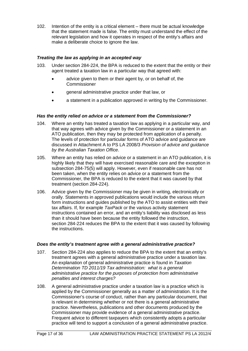102. Intention of the entity is a critical element – there must be actual knowledge that the statement made is false. The entity must understand the effect of the relevant legislation and how it operates in respect of the entity's affairs and make a deliberate choice to ignore the law.

## *Treating the law as applying in an accepted way*

- 103. Under section 284-224, the BPA is reduced to the extent that the entity or their agent treated a taxation law in a particular way that agreed with:
	- advice given to them or their agent by, or on behalf of, the Commissioner
	- general administrative practice under that law, or
	- a statement in a publication approved in writing by the Commissioner.

#### *Has the entity relied on advice or a statement from the Commissioner?*

- 104. Where an entity has treated a taxation law as applying in a particular way, and that way agrees with advice given by the Commissioner or a statement in an ATO publication, then they may be protected from application of a penalty. The levels of protection for particular forms of ATO advice and guidance are discussed in Attachment A to PS LA 2008/3 *Provision of advice and guidance by the Australian Taxation Office*.
- 105. Where an entity has relied on advice or a statement in an ATO publication, it is highly likely that they will have exercised reasonable care and the exception in subsection 284-75(5) will apply. However, even if reasonable care has not been taken, when the entity relies on advice or a statement from the Commissioner, the BPA is reduced to the extent that it was caused by that treatment (section 284-224).
- 106. Advice given by the Commissioner may be given in writing, electronically or orally. Statements in approved publications would include the various return form instructions and guides published by the ATO to assist entities with their tax affairs. If, for example *TaxPack* or the various activity statement instructions contained an error, and an entity's liability was disclosed as less than it should have been because the entity followed the instruction, section 284-224 reduces the BPA to the extent that it was caused by following the instructions.

#### *Does the entity's treatment agree with a general administrative practice?*

- 107. Section 284-224 also applies to reduce the BPA to the extent that an entity's treatment agrees with a general administrative practice under a taxation law. An explanation of general administrative practice is found in *Taxation Determination TD 2011/19 Tax administration: what is a general administrative practice for the purposes of protection from administrative penalties and interest charges?*
- 108. A general administrative practice under a taxation law is a practice which is applied by the Commissioner generally as a matter of administration. It is the Commissioner's course of conduct, rather than any particular document, that is relevant in determining whether or not there is a general administrative practice. Nevertheless, publications and other documents produced by the Commissioner may provide evidence of a general administrative practice. Frequent advice to different taxpayers which consistently adopts a particular practice will tend to support a conclusion of a general administrative practice.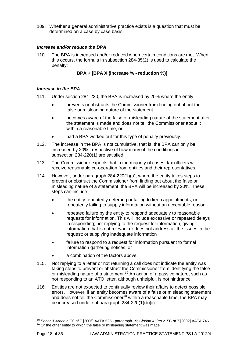109. Whether a general administrative practice exists is a question that must be determined on a case by case basis.

## *Increase and/or reduce the BPA*

110. The BPA is increased and/or reduced when certain conditions are met. When this occurs, the formula in subsection 284-85(2) is used to calculate the penalty:

**BPA + [BPA X (increase % - reduction %)]**

#### *Increase in the BPA*

- 111. Under section 284-220, the BPA is increased by 20% where the entity:
	- prevents or obstructs the Commissioner from finding out about the false or misleading nature of the statement
	- becomes aware of the false or misleading nature of the statement after the statement is made and does not tell the Commissioner about it within a reasonable time, or
	- had a BPA worked out for this type of penalty previously.
- 112. The increase in the BPA is not cumulative, that is, the BPA can only be increased by 20% irrespective of how many of the conditions in subsection 284-220(1) are satisfied.
- 113. The Commissioner expects that in the majority of cases, tax officers will receive reasonable co-operation from entities and their representatives.
- 114. However, under paragraph 284-220(1)(a), where the entity takes steps to prevent or obstruct the Commissioner from finding out about the false or misleading nature of a statement, the BPA will be increased by 20%. These steps can include:
	- the entity repeatedly deferring or failing to keep appointments, or repeatedly failing to supply information without an acceptable reason
	- repeated failure by the entity to respond adequately to reasonable requests for information. This will include excessive or repeated delays in responding; not replying to the request for information; giving information that is not relevant or does not address all the issues in the request; or supplying inadequate information
	- failure to respond to a request for information pursuant to formal information gathering notices, or
	- a combination of the factors above.
- 115. Not replying to a letter or not returning a call does not indicate the entity was taking steps to prevent or obstruct the Commissioner from identifying the false or misleading nature of a statement.<sup>[19](#page-18-0)</sup> An action of a passive nature, such as not responding to an ATO letter, although unhelpful, is not hindrance.
- 116. Entities are not expected to continually review their affairs to detect possible errors. However, if an entity becomes aware of a false or misleading statement and does not tell the Commissioner<sup>[20](#page-18-1)</sup> within a reasonable time, the BPA may be increased under subparagraph 284-220(1)(b)(ii).

<span id="page-18-1"></span><span id="page-18-0"></span><sup>19</sup> *Ebner & Arnor v. FC of T* [2006] AATA 525 - paragraph 19; *Ciprian & Ors v. FC of T* [2002] AATA 746 **<sup>20</sup>** Or the other entity to which the false or misleading statement was made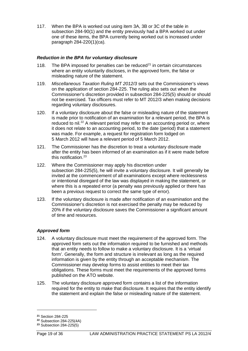117. When the BPA is worked out using item 3A, 3B or 3C of the table in subsection 284-90(1) and the entity previously had a BPA worked out under one of these items, the BPA currently being worked out is increased under paragraph 284-220(1)(ca).

## *Reduction in the BPA for voluntary disclosure*

- 118. The BPA imposed for penalties can be reduced $2<sup>1</sup>$  in certain circumstances where an entity voluntarily discloses, in the approved form, the false or misleading nature of the statement.
- 119. *Miscellaneous Taxation Ruling MT 2012/3* sets out the Commissioner's views on the application of section 284-225. The ruling also sets out when the Commissioner's discretion provided in subsection 284-225(5) should or should not be exercised. Tax officers must refer to MT 2012/3 when making decisions regarding voluntary disclosures.
- 120. If a voluntary disclosure about the false or misleading nature of the statement is made prior to notification of an examination for a relevant period, the BPA is reduced to nil.<sup>[22](#page-19-1)</sup> A relevant period may refer to an accounting period or, where it does not relate to an accounting period, to the date (period) that a statement was made. For example, a request for registration form lodged on 5 March 2012 will have a relevant period of 5 March 2012.
- 121. The Commissioner has the discretion to treat a voluntary disclosure made after the entity has been informed of an examination as if it were made before this notification. [23](#page-19-2)
- 122. Where the Commissioner may apply his discretion under subsection 284-225(5), he will invite a voluntary disclosure. It will generally be invited at the commencement of all examinations except where recklessness or intentional disregard of the law was displayed in making the statement, or where this is a repeated error (a penalty was previously applied or there has been a previous request to correct the same type of error).
- 123. If the voluntary disclosure is made after notification of an examination and the Commissioner's discretion is not exercised the penalty may be reduced by 20% if the voluntary disclosure saves the Commissioner a significant amount of time and resources.

#### *Approved form*

- 124. A voluntary disclosure must meet the requirement of the approved form. The approved form sets out the information required to be furnished and methods that an entity needs to follow to make a voluntary disclosure. It is a 'virtual form'. Generally, the form and structure is irrelevant as long as the required information is given by the entity through an acceptable mechanism. The Commissioner may develop forms to assist entities to meet their tax obligations. These forms must meet the requirements of the approved forms published on the ATO website.
- 125. The voluntary disclosure approved form contains a list of the information required for the entity to make that disclosure. It requires that the entity identify the statement and explain the false or misleading nature of the statement.

<span id="page-19-0"></span>**<sup>21</sup>** Section 284-225

<span id="page-19-1"></span>**<sup>22</sup>** Subsection 284-225(4A)

<span id="page-19-2"></span>**<sup>23</sup>** Subsection 284-225(5)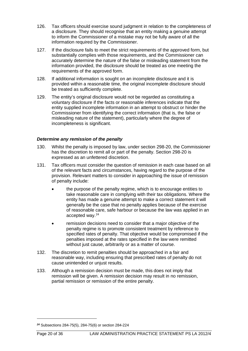- 126. Tax officers should exercise sound judgment in relation to the completeness of a disclosure. They should recognise that an entity making a genuine attempt to inform the Commissioner of a mistake may not be fully aware of all the information required by the Commissioner.
- 127. If the disclosure fails to meet the strict requirements of the approved form, but substantially complies with those requirements, and the Commissioner can accurately determine the nature of the false or misleading statement from the information provided, the disclosure should be treated as one meeting the requirements of the approved form.
- 128. If additional information is sought on an incomplete disclosure and it is provided within a reasonable time, the original incomplete disclosure should be treated as sufficiently complete.
- 129. The entity's original disclosure would not be regarded as constituting a voluntary disclosure if the facts or reasonable inferences indicate that the entity supplied incomplete information in an attempt to obstruct or hinder the Commissioner from identifying the correct information (that is, the false or misleading nature of the statement), particularly where the degree of incompleteness is significant.

#### *Determine any remission of the penalty*

- 130. Whilst the penalty is imposed by law, under section 298-20, the Commissioner has the discretion to remit all or part of the penalty. Section 298-20 is expressed as an unfettered discretion.
- 131. Tax officers must consider the question of remission in each case based on all of the relevant facts and circumstances, having regard to the purpose of the provision. Relevant matters to consider in approaching the issue of remission of penalty include:
	- the purpose of the penalty regime, which is to encourage entities to take reasonable care in complying with their tax obligations. Where the entity has made a genuine attempt to make a correct statement it will generally be the case that no penalty applies because of the exercise of reasonable care, safe harbour or because the law was applied in an accepted way.[24](#page-20-0)
	- remission decisions need to consider that a major objective of the penalty regime is to promote consistent treatment by reference to specified rates of penalty. That objective would be compromised if the penalties imposed at the rates specified in the law were remitted without just cause, arbitrarily or as a matter of course.
- 132. The discretion to remit penalties should be approached in a fair and reasonable way, including ensuring that prescribed rates of penalty do not cause unintended or unjust results.
- 133. Although a remission decision must be made, this does not imply that remission will be given. A remission decision may result in no remission, partial remission or remission of the entire penalty.

<span id="page-20-0"></span>*<sup>24</sup>* Subsections 284-75(5), 284-75(6) or section 284-224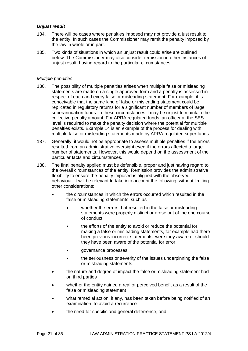## *Unjust result*

- 134. There will be cases where penalties imposed may not provide a just result to the entity. In such cases the Commissioner may remit the penalty imposed by the law in whole or in part.
- 135. Two kinds of situations in which an unjust result could arise are outlined below. The Commissioner may also consider remission in other instances of unjust result, having regard to the particular circumstances.

#### *Multiple penalties*

- 136. The possibility of multiple penalties arises when multiple false or misleading statements are made on a single approved form and a penalty is assessed in respect of each and every false or misleading statement. For example, it is conceivable that the same kind of false or misleading statement could be replicated in regulatory returns for a significant number of members of large superannuation funds. In these circumstances it may be unjust to maintain the collective penalty amount. For APRA regulated funds, an officer at the SES level is required to make the penalty decision where the potential for multiple penalties exists. Example 14 is an example of the process for dealing with multiple false or misleading statements made by APRA regulated super funds.
- 137. Generally, it would not be appropriate to assess multiple penalties if the errors resulted from an administrative oversight even if the errors affected a large number of statements. However, this would depend on the assessment of the particular facts and circumstances.
- 138. The final penalty applied must be defensible, proper and just having regard to the overall circumstances of the entity. Remission provides the administrative flexibility to ensure the penalty imposed is aligned with the observed behaviour. It will be relevant to take into account the following, without limiting other considerations:
	- the circumstances in which the errors occurred which resulted in the false or misleading statements, such as
		- whether the errors that resulted in the false or misleading statements were properly distinct or arose out of the one course of conduct
		- the efforts of the entity to avoid or reduce the potential for making a false or misleading statements, for example had there been previous incorrect statements, were they aware or should they have been aware of the potential for error
		- governance processes
		- the seriousness or severity of the issues underpinning the false or misleading statements.
	- the nature and degree of impact the false or misleading statement had on third parties
	- whether the entity gained a real or perceived benefit as a result of the false or misleading statement
	- what remedial action, if any, has been taken before being notified of an examination, to avoid a recurrence
	- the need for specific and general deterrence, and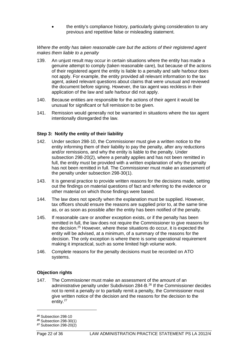• the entity's compliance history, particularly giving consideration to any previous and repetitive false or misleading statement.

#### *Where the entity has taken reasonable care but the actions of their registered agent makes them liable to a penalty*

- 139. An unjust result may occur in certain situations where the entity has made a genuine attempt to comply (taken reasonable care), but because of the actions of their registered agent the entity is liable to a penalty and safe harbour does not apply. For example, the entity provided all relevant information to the tax agent, asked relevant questions about claims that were unusual and reviewed the document before signing. However, the tax agent was reckless in their application of the law and safe harbour did not apply.
- 140. Because entities are responsible for the actions of their agent it would be unusual for significant or full remission to be given.
- 141. Remission would generally not be warranted in situations where the tax agent intentionally disregarded the law.

#### **Step 3: Notify the entity of their liability**

- 142. Under section 298-10, the Commissioner must give a written notice to the entity informing them of their liability to pay the penalty, after any reductions and/or remissions, and why the entity is liable to the penalty. Under subsection 298-20(2), where a penalty applies and has not been remitted in full, the entity must be provided with a written explanation of why the penalty has not been remitted in full. The Commissioner must make an assessment of the penalty under subsection 298-30(1).
- 143. It is general practice to provide written reasons for the decisions made, setting out the findings on material questions of fact and referring to the evidence or other material on which those findings were based.
- 144. The law does not specify when the explanation must be supplied. However, tax officers should ensure the reasons are supplied prior to, at the same time as, or as soon as possible after the entity has been notified of the penalty.
- 145. If reasonable care or another exception exists, or if the penalty has been remitted in full, the law does not require the Commissioner to give reasons for the decision[.25](#page-22-0) However, where these situations do occur, it is expected the entity will be advised, at a minimum, of a summary of the reasons for the decision. The only exception is where there is some operational requirement making it impractical, such as some limited high volume work.
- 146. Complete reasons for the penalty decisions must be recorded on ATO systems.

## **Objection rights**

147. The Commissioner must make an assessment of the amount of an administrative penalty under Subdivision 284-B.<sup>[26](#page-22-1)</sup> If the Commissioner decides not to remit a penalty or to partially remit a penalty, the Commissioner must give written notice of the decision and the reasons for the decision to the entity.<sup>[27](#page-22-2)</sup>

<span id="page-22-0"></span>*<sup>25</sup>* Subsection 298-10

<span id="page-22-1"></span>*<sup>26</sup>* Subsection 298-30(1)

<span id="page-22-2"></span>*<sup>27</sup>* Subsection 298-20(2)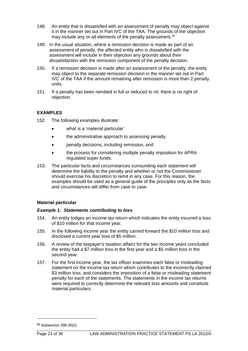- 148. An entity that is dissatisfied with an assessment of penalty may object against it in the manner set out in Part IVC of the TAA. The grounds of the objection may include any or all elements of the penalty assessment.<sup>[28](#page-23-0)</sup>
- 149. In the usual situation, where a remission decision is made as part of an assessment of penalty, the affected entity who is dissatisfied with the assessment will include in their objection any grounds about their dissatisfaction with the remission component of the penalty decision.
- 150. If a remission decision is made after an assessment of the penalty, the entity may object to the separate remission decision in the manner set out in Part IVC of the TAA if the amount remaining after remission is more than 2 penalty units.
- 151. If a penalty has been remitted in full or reduced to nil, there is no right of objection.

## **EXAMPLES**

- 152. The following examples illustrate:
	- what is a 'material particular'
	- the administrative approach to assessing penalty
	- penalty decisions, including remission, and
	- the process for considering multiple penalty imposition for APRA regulated super funds.
- 153. The particular facts and circumstances surrounding each statement will determine the liability to the penalty and whether or not the Commissioner should exercise his discretion to remit in any case. For this reason, the examples should be used as a general guide of the principles only as the facts and circumstances will differ from case to case.

## **Material particular**

## *Example 1: Statements contributing to loss*

- 154. An entity lodges an income tax return which indicates the entity incurred a loss of \$10 million for that income year.
- 155. In the following income year the entity carried forward the \$10 million loss and disclosed a current year loss of \$5 million.
- 156. A review of the taxpayer's taxation affairs for the two income years concluded the entity had a \$7 million loss in the first year and a \$5 million loss in the second year.
- 157. For the first income year, the tax officer examines each false or misleading statement on the income tax return which contributes to the incorrectly claimed \$3 million loss, and considers the imposition of a false or misleading statement penalty for each of the statements. The statements in the income tax returns were required to correctly determine the relevant loss amounts and constitute material particulars.

<span id="page-23-0"></span>*<sup>28</sup>* Subsection 298-30(2)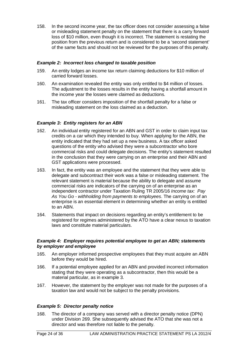158. In the second income year, the tax officer does not consider assessing a false or misleading statement penalty on the statement that there is a carry forward loss of \$10 million, even though it is incorrect. The statement is restating the position from the previous return and is considered to be a 'second statement' of the same facts and should not be reviewed for the purposes of this penalty.

#### *Example 2: Incorrect loss changed to taxable position*

- 159. An entity lodges an income tax return claiming deductions for \$10 million of carried forward losses.
- 160. An examination revealed the entity was only entitled to \$4 million of losses. The adjustment to the losses results in the entity having a shortfall amount in the income year the losses were claimed as deductions.
- 161. The tax officer considers imposition of the shortfall penalty for a false or misleading statement on the loss claimed as a deduction.

## *Example 3: Entity registers for an ABN*

- 162. An individual entity registered for an ABN and GST in order to claim input tax credits on a car which they intended to buy. When applying for the ABN, the entity indicated that they had set up a new business. A tax officer asked questions of the entity who advised they were a subcontractor who bore commercial risks and could delegate decisions. The entity's statement resulted in the conclusion that they were carrying on an enterprise and their ABN and GST applications were processed.
- 163. In fact, the entity was an employee and the statement that they were able to delegate and subcontract their work was a false or misleading statement. The relevant statement is material because the ability to delegate and assume commercial risks are indicators of the carrying on of an enterprise as an independent contractor under Taxation Ruling TR 2005/16 *Income tax: Pay As You Go - withholding from payments to employees*. The carrying on of an enterprise is an essential element in determining whether an entity is entitled to an ABN.
- 164. Statements that impact on decisions regarding an entity's entitlement to be registered for regimes administered by the ATO have a clear nexus to taxation laws and constitute material particulars.

#### *Example 4: Employer requires potential employee to get an ABN; statements by employer and employee*

- 165. An employer informed prospective employees that they must acquire an ABN before they would be hired.
- 166. If a potential employee applied for an ABN and provided incorrect information stating that they were operating as a subcontractor, then this would be a material particular, as in example 3.
- 167. However, the statement by the employer was not made for the purposes of a taxation law and would not be subject to the penalty provisions.

## *Example 5: Director penalty notice*

168. The director of a company was served with a director penalty notice (DPN) under Division 269. She subsequently advised the ATO that she was not a director and was therefore not liable to the penalty.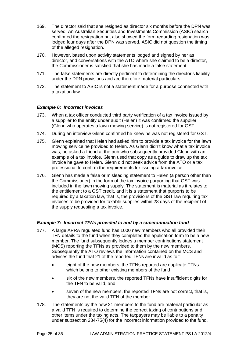- 169. The director said that she resigned as director six months before the DPN was served. An Australian Securities and Investments Commission (ASIC) search confirmed the resignation but also showed the form regarding resignation was lodged four days after the DPN was served. ASIC did not question the timing of the alleged resignation.
- 170. However, based upon activity statements lodged and signed by her as director, and conversations with the ATO where she claimed to be a director, the Commissioner is satisfied that she has made a false statement.
- 171. The false statements are directly pertinent to determining the director's liability under the DPN provisions and are therefore material particulars.
- 172. The statement to ASIC is not a statement made for a purpose connected with a taxation law.

## *Example 6: Incorrect invoices*

- 173. When a tax officer conducted third party verification of a tax invoice issued by a supplier to the entity under audit (Helen) it was confirmed the supplier (Glenn who operates a lawn mowing service) is not registered for GST.
- 174. During an interview Glenn confirmed he knew he was not registered for GST.
- 175. Glenn explained that Helen had asked him to provide a tax invoice for the lawn mowing service he provided to Helen. As Glenn didn't know what a tax invoice was, he asked a friend at the pub who subsequently provided Glenn with an example of a tax invoice. Glenn used that copy as a guide to draw up the tax invoice he gave to Helen. Glenn did not seek advice from the ATO or a tax professional to confirm the requirements for issuing a tax invoice.
- 176. Glenn has made a false or misleading statement to Helen (a person other than the Commissioner) in the form of the tax invoice purporting that GST was included in the lawn mowing supply. The statement is material as it relates to the entitlement to a GST credit, and it is a statement that purports to be required by a taxation law, that is, the provisions of the GST law requiring tax invoices to be provided for taxable supplies within 28 days of the recipient of the supply requesting a tax invoice.

#### *Example 7: Incorrect TFNs provided to and by a superannuation fund*

- 177. A large APRA regulated fund has 1000 new members who all provided their TFN details to the fund when they completed the application form to be a new member. The fund subsequently lodges a member contributions statement (MCS) reporting the TFNs as provided to them by the new members. Subsequently the ATO reviews the information contained on the MCS and advises the fund that 21 of the reported TFNs are invalid as for:
	- eight of the new members, the TFNs reported are duplicate TFNs which belong to other existing members of the fund
	- six of the new members, the reported TFNs have insufficient digits for the TFN to be valid, and
	- seven of the new members, the reported TFNs are not correct, that is, they are not the valid TFN of the member.
- 178. The statements by the new 21 members to the fund are material particular as a valid TFN is required to determine the correct taxing of contributions and other items under the taxing acts. The taxpayers may be liable to a penalty under subsection 284-75(4) for the incorrect information provided to the fund.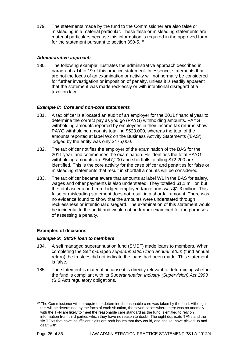179. The statements made by the fund to the Commissioner are also false or misleading in a material particular. These false or misleading statements are material particulars because this information is required in the approved form for the statement pursuant to section 390-5.<sup>[29](#page-26-0)</sup>

## *Administrative approach*

180. The following example illustrates the administrative approach described in paragraphs 14 to 19 of this practice statement. In essence, statements that are not the focus of an examination or activity will not normally be considered for further investigation or imposition of penalty, unless it is readily apparent that the statement was made recklessly or with intentional disregard of a taxation law.

## *Example 8: Core and non-core statements*

- 181. A tax officer is allocated an audit of an employer for the 2011 financial year to determine the correct pay as you go (PAYG) withholding amounts. PAYG withholding amounts reported by employees in their income tax returns show PAYG withholding amounts totalling \$523,000, whereas the total of the amounts reported at label W2 on the Business Activity Statements ('BAS') lodged by the entity was only \$475,000.
- 182. The tax officer notifies the employer of the examination of the BAS for the 2011 year, and commences the examination. He identifies the total PAYG withholding amounts are \$547,200 and shortfalls totalling \$72,200 are identified. This is the core activity for the case officer and penalties for false or misleading statements that result in shortfall amounts will be considered.
- 183. The tax officer became aware that amounts at label W1 in the BAS for salary, wages and other payments is also understated. They totalled \$1.1 million but the total ascertained from lodged employee tax returns was \$1.3 million. This false or misleading statement does not result in a shortfall amount. There was no evidence found to show that the amounts were understated through recklessness or intentional disregard. The examination of this statement would be incidental to the audit and would not be further examined for the purposes of assessing a penalty.

## **Examples of decisions**

## *Example 9: SMSF loan to members*

- 184. A self managed superannuation fund (SMSF) made loans to members. When completing the *Self managed superannuation fund annual return* (fund annual return) the trustees did not indicate the loans had been made. This statement is false.
- 185. The statement is material because it is directly relevant to determining whether the fund is compliant with its *Superannuation Industry (Supervision) Act 1993* (SIS Act) regulatory obligations.

<span id="page-26-0"></span>*<sup>29</sup>* The Commissioner will be required to determine if reasonable care was taken by the fund. Although this will be determined by the facts of each situation, the seven cases where there was no anomaly with the TFN are likely to meet the reasonable care standard as the fund is entitled to rely on information from third parties which they have no reason to doubt. The eight duplicate TFNs and the six TFNs that have insufficient digits are both issues that they could, and should, have picked up and dealt with.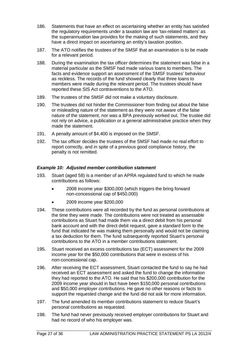- 186. Statements that have an effect on ascertaining whether an entity has satisfied the regulatory requirements under a taxation law are 'tax-related matters' as the superannuation law provides for the making of such statements, and they have a direct impact on ascertaining an entity's taxation position.
- 187. The ATO notifies the trustees of the SMSF that an examination is to be made for a relevant period.
- 188. During the examination the tax officer determines the statement was false in a material particular as the SMSF had made various loans to members. The facts and evidence support an assessment of the SMSF trustees' behaviour as reckless. The records of the fund showed clearly that three loans to members were made during the relevant period. The trustees should have reported these SIS Act contraventions to the ATO.
- 189. The trustees of the SMSF did not make a voluntary disclosure.
- 190. The trustees did not hinder the Commissioner from finding out about the false or misleading nature of the statement as they were not aware of the false nature of the statement, nor was a BPA previously worked out. The trustee did not rely on advice, a publication or a general administrative practice when they made the statement.
- 191. A penalty amount of \$4,400 is imposed on the SMSF.
- 192. The tax officer decides the trustees of the SMSF had made no real effort to report correctly, and in spite of a previous good compliance history, the penalty is not remitted.

## *Example 10: Adjusted member contribution statement*

- 193. Stuart (aged 58) is a member of an APRA regulated fund to which he made contributions as follows:
	- 2008 income year \$300,000 (which triggers the bring forward non-concessional cap of \$450,000)
	- 2009 income year \$200,000
- 194. These contributions were all recorded by the fund as personal contributions at the time they were made. The contributions were not treated as assessable contributions as Stuart had made them via a direct debit from his personal bank account and with the direct debit request, gave a standard form to the fund that indicated he was making them personally and would not be claiming a tax deduction for them. The fund subsequently reported Stuart's personal contributions to the ATO in a member contributions statement.
- 195. Stuart received an excess contributions tax (ECT) assessment for the 2009 income year for the \$50,000 contributions that were in excess of his non-concessional cap.
- 196. After receiving the ECT assessment, Stuart contacted the fund to say he had received an ECT assessment and asked the fund to change the information they had reported to the ATO. He said that his \$200,000 contribution for the 2009 income year should in fact have been \$150,000 personal contributions and \$50,000 employer contributions. He gave no other reasons or facts to support the requested change and the fund did not ask for more information.
- 197. The fund amended its member contributions statement to reduce Stuart's personal contributions as requested.
- 198. The fund had never previously received employer contributions for Stuart and had no record of who his employer was.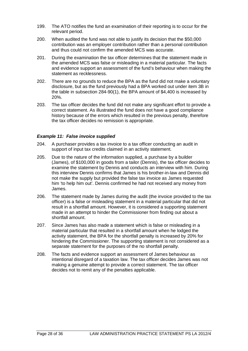- 199. The ATO notifies the fund an examination of their reporting is to occur for the relevant period.
- 200. When audited the fund was not able to justify its decision that the \$50,000 contribution was an employer contribution rather than a personal contribution and thus could not confirm the amended MCS was accurate.
- 201. During the examination the tax officer determines that the statement made in the amended MCS was false or misleading in a material particular. The facts and evidence support an assessment of the fund's behaviour when making the statement as recklessness.
- 202. There are no grounds to reduce the BPA as the fund did not make a voluntary disclosure, but as the fund previously had a BPA worked out under item 3B in the table in subsection 284-90(1), the BPA amount of \$4,400 is increased by 20%.
- 203. The tax officer decides the fund did not make any significant effort to provide a correct statement. As illustrated the fund does not have a good compliance history because of the errors which resulted in the previous penalty, therefore the tax officer decides no remission is appropriate.

#### *Example 11: False invoice supplied*

- 204. A purchaser provides a tax invoice to a tax officer conducting an audit in support of input tax credits claimed in an activity statement.
- 205. Due to the nature of the information supplied, a purchase by a builder (James), of \$100,000 in goods from a tailor (Dennis), the tax officer decides to examine the statement by Dennis and conducts an interview with him. During this interview Dennis confirms that James is his brother-in-law and Dennis did not make the supply but provided the false tax invoice as James requested him 'to help him out'. Dennis confirmed he had not received any money from James.
- 206. The statement made by James during the audit (the invoice provided to the tax officer) is a false or misleading statement in a material particular that did not result in a shortfall amount. However, it is considered a supporting statement made in an attempt to hinder the Commissioner from finding out about a shortfall amount.
- 207. Since James has also made a statement which is false or misleading in a material particular that resulted in a shortfall amount when he lodged the activity statement, the BPA for the shortfall penalty is increased by 20% for hindering the Commissioner. The supporting statement is not considered as a separate statement for the purposes of the no shortfall penalty.
- 208. The facts and evidence support an assessment of James behaviour as intentional disregard of a taxation law. The tax officer decides James was not making a genuine attempt to provide a correct statement. The tax officer decides not to remit any of the penalties applicable.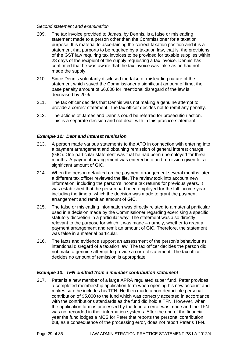#### *Second statement and examination*

- 209. The tax invoice provided to James, by Dennis, is a false or misleading statement made to a person other than the Commissioner for a taxation purpose. It is material to ascertaining the correct taxation position and it is a statement that purports to be required by a taxation law, that is, the provisions of the GST law requiring tax invoices to be provided for taxable supplies within 28 days of the recipient of the supply requesting a tax invoice. Dennis has confirmed that he was aware that the tax invoice was false as he had not made the supply.
- 210. Since Dennis voluntarily disclosed the false or misleading nature of the statement which saved the Commissioner a significant amount of time, the base penalty amount of \$6,600 for intentional disregard of the law is decreased by 20%.
- 211. The tax officer decides that Dennis was not making a genuine attempt to provide a correct statement. The tax officer decides not to remit any penalty.
- 212. The actions of James and Dennis could be referred for prosecution action. This is a separate decision and not dealt with in this practice statement.

#### *Example 12: Debt and interest remission*

- 213. A person made various statements to the ATO in connection with entering into a payment arrangement and obtaining remission of general interest charge (GIC). One particular statement was that he had been unemployed for three months. A payment arrangement was entered into and remission given for a significant amount of GIC.
- 214. When the person defaulted on the payment arrangement several months later a different tax officer reviewed the file. The review took into account new information, including the person's income tax returns for previous years. It was established that the person had been employed for the full income year, including the time at which the decision was made to grant the payment arrangement and remit an amount of GIC.
- 215. The false or misleading information was directly related to a material particular used in a decision made by the Commissioner regarding exercising a specific statutory discretion in a particular way. The statement was also directly relevant to the purpose for which it was made – namely, whether to grant a payment arrangement and remit an amount of GIC. Therefore, the statement was false in a material particular.
- 216. The facts and evidence support an assessment of the person's behaviour as intentional disregard of a taxation law. The tax officer decides the person did not make a genuine attempt to provide a correct statement. The tax officer decides no amount of remission is appropriate.

#### *Example 13: TFN omitted from a member contribution statement*

217. Peter is a new member of a large APRA regulated super fund. Peter provides a completed membership application form when opening his new account and makes sure he includes his TFN. He then made a non-deductible personal contribution of \$5,000 to the fund which was correctly accepted in accordance with the contributions standards as the fund did hold a TFN. However, when the application form is processed by the fund an error was made and the TFN was not recorded in their information systems. After the end of the financial year the fund lodges a MCS for Peter that reports the personal contribution but, as a consequence of the processing error, does not report Peter's TFN.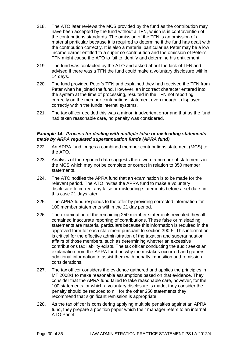- 218. The ATO later reviews the MCS provided by the fund as the contribution may have been accepted by the fund without a TFN, which is in contravention of the contributions standards. The omission of the TFN is an omission of a material particular because it is required to determine if the fund has dealt with the contribution correctly. It is also a material particular as Peter may be a low income earner entitled to a super co-contribution and the omission of Peter's TFN might cause the ATO to fail to identify and determine his entitlement.
- 219. The fund was contacted by the ATO and asked about the lack of TFN and advised if there was a TFN the fund could make a voluntary disclosure within 14 days.
- 220. The fund provided Peter's TFN and explained they had received the TFN from Peter when he joined the fund. However, an incorrect character entered into the system at the time of processing, resulted in the TFN not reporting correctly on the member contributions statement even though it displayed correctly within the funds internal systems.
- 221. The tax officer decided this was a minor, inadvertent error and that as the fund had taken reasonable care, no penalty was considered.

#### *Example 14: Process for dealing with multiple false or misleading statements made by ARPA regulated superannuation funds (APRA fund)*

- 222. An APRA fund lodges a combined member contributions statement (MCS) to the ATO.
- 223. Analysis of the reported data suggests there were a number of statements in the MCS which may not be complete or correct in relation to 350 member statements.
- 224. The ATO notifies the APRA fund that an examination is to be made for the relevant period. The ATO invites the APRA fund to make a voluntary disclosure to correct any false or misleading statements before a set date, in this case 21 days later.
- 225. The APRA fund responds to the offer by providing corrected information for 100 member statements within the 21 day period.
- 226. The examination of the remaining 250 member statements revealed they all contained inaccurate reporting of contributions. These false or misleading statements are material particulars because this information is required in the approved form for each statement pursuant to section 390-5. This information is critical for the effective administration of the taxation and superannuation affairs of those members, such as determining whether an excessive contributions tax liability exists. The tax officer conducting the audit seeks an explanation from the APRA fund on why the mistakes occurred and gathers additional information to assist them with penalty imposition and remission considerations.
- 227. The tax officer considers the evidence gathered and applies the principles in MT 2008/1 to make reasonable assumptions based on that evidence. They consider that the APRA fund failed to take reasonable care, however, for the 100 statements for which a voluntary disclosure is made, they consider the penalty should be reduced to nil; for the other 250 statements they recommend that significant remission is appropriate.
- 228. As the tax officer is considering applying multiple penalties against an APRA fund, they prepare a position paper which their manager refers to an internal ATO Panel.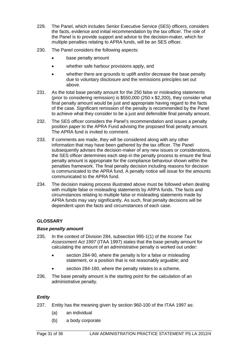- 229. The Panel, which includes Senior Executive Service (SES) officers, considers the facts, evidence and initial recommendation by the tax officer. The role of the Panel is to provide support and advice to the decision-maker, which for multiple penalties relating to APRA funds, will be an SES officer.
- 230. The Panel considers the following aspects:
	- base penalty amount
	- whether safe harbour provisions apply, and
	- whether there are grounds to uplift and/or decrease the base penalty due to voluntary disclosure and the remissions principles set out above.
- 231. As the total base penalty amount for the 250 false or misleading statements (prior to considering remission) is \$550,000 (250 x \$2,200), they consider what final penalty amount would be just and appropriate having regard to the facts of the case. Significant remission of the penalty is recommended by the Panel to achieve what they consider to be a just and defensible final penalty amount.
- 232. The SES officer considers the Panel's recommendation and issues a penalty position paper to the APRA Fund advising the proposed final penalty amount. The APRA fund is invited to comment.
- 233. If comments are made, they will be considered along with any other information that may have been gathered by the tax officer. The Panel subsequently advises the decision-maker of any new issues or considerations, the SES officer determines each step in the penalty process to ensure the final penalty amount is appropriate for the compliance behaviour shown within the penalties framework. The final penalty decision including reasons for decision is communicated to the APRA fund. A penalty notice will issue for the amounts communicated to the APRA fund.
- 234. The decision making process illustrated above must be followed when dealing with multiple false or misleading statements by ARPA funds. The facts and circumstances relating to multiple false or misleading statements made by APRA funds may vary significantly. As such, final penalty decisions will be dependent upon the facts and circumstances of each case.

## **GLOSSARY**

#### *Base penalty amount*

- 235. In the context of Division 284, subsection 995-1(1) of the *Income Tax Assessment Act 1997* (ITAA 1997) states that the base penalty amount for calculating the amount of an administrative penalty is worked out under:
	- section 284-90, where the penalty is for a false or misleading statement, or a position that is not reasonably arguable; and
	- section 284-160, where the penalty relates to a scheme.
- 236. The base penalty amount is the starting point for the calculation of an administrative penalty.

## *Entity*

- 237. Entity has the meaning given by section 960-100 of the ITAA 1997 as:
	- (a) an individual
	- (b) a body corporate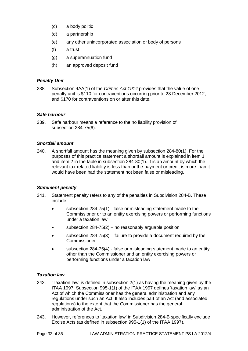- (c) a body politic
- (d) a partnership
- (e) any other unincorporated association or body of persons
- (f) a trust
- (g) a superannuation fund
- (h) an approved deposit fund

#### *Penalty Unit*

238. Subsection 4AA(1) of the *Crimes Act 1914* provides that the value of one penalty unit is \$110 for contraventions occurring prior to 28 December 2012, and \$170 for contraventions on or after this date.

#### *Safe harbour*

239. Safe harbour means a reference to the no liability provision of subsection 284-75(6).

#### *Shortfall amount*

240. A shortfall amount has the meaning given by subsection 284-80(1). For the purposes of this practice statement a shortfall amount is explained in item 1 and item 2 in the table in subsection 284-80(1). It is an amount by which the relevant tax-related liability is less than or the payment or credit is more than it would have been had the statement not been false or misleading.

#### *Statement penalty*

- 241. Statement penalty refers to any of the penalties in Subdivision 284-B. These include:
	- subsection 284-75(1) false or misleading statement made to the Commissioner or to an entity exercising powers or performing functions under a taxation law
	- subsection  $284-75(2)$  no reasonably arguable position
	- subsection 284-75(3) failure to provide a document required by the Commissioner
	- subsection 284-75(4) false or misleading statement made to an entity other than the Commissioner and an entity exercising powers or performing functions under a taxation law

#### *Taxation law*

- 242. 'Taxation law' is defined in subsection 2(1) as having the meaning given by the ITAA 1997. Subsection 995-1(1) of the ITAA 1997 defines 'taxation law' as an Act of which the Commissioner has the general administration and any regulations under such an Act. It also includes part of an Act (and associated regulations) to the extent that the Commissioner has the general administration of the Act.
- 243. However, references to 'taxation law' in Subdivision 284-B specifically exclude Excise Acts (as defined in subsection 995-1(1) of the ITAA 1997).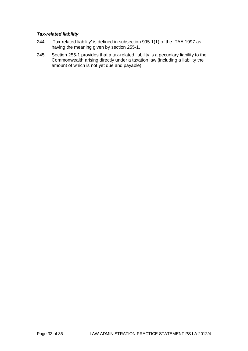## *Tax-related liability*

- 244. 'Tax-related liability' is defined in subsection 995-1(1) of the ITAA 1997 as having the meaning given by section 255-1.
- 245. Section 255-1 provides that a tax-related liability is a pecuniary liability to the Commonwealth arising directly under a taxation law (including a liability the amount of which is not yet due and payable).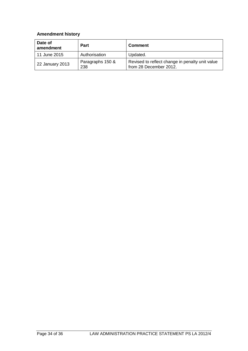## **Amendment history**

| Date of<br>amendment | <b>Part</b>             | <b>Comment</b>                                                            |
|----------------------|-------------------------|---------------------------------------------------------------------------|
| 11 June 2015         | Authorisation           | Updated.                                                                  |
| 22 January 2013      | Paragraphs 150 &<br>238 | Revised to reflect change in penalty unit value<br>from 28 December 2012. |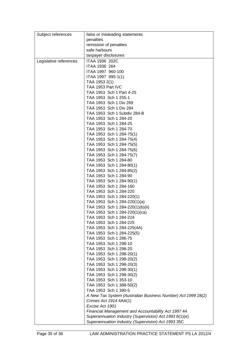| Subject references     | false or misleading statements                               |  |
|------------------------|--------------------------------------------------------------|--|
|                        | penalties                                                    |  |
|                        | remission of penalties                                       |  |
|                        | safe harbours                                                |  |
|                        | taxpayer disclosures                                         |  |
|                        | ITAA 1936 202C                                               |  |
| Legislative references |                                                              |  |
|                        | ITAA 1936 264                                                |  |
|                        | ITAA 1997 960-100                                            |  |
|                        | ITAA 1997 995-1(1)                                           |  |
|                        | TAA 1953 2(1)                                                |  |
|                        | TAA 1953 Part IVC                                            |  |
|                        | TAA 1953 Sch 1 Part 4-25                                     |  |
|                        | TAA 1953 Sch 1 255-1                                         |  |
|                        | TAA 1953 Sch 1 Div 269                                       |  |
|                        | TAA 1953 Sch 1 Div 284                                       |  |
|                        | TAA 1953 Sch 1 Subdiv 284-B                                  |  |
|                        | TAA 1953 Sch 1 284-20                                        |  |
|                        | TAA 1953 Sch 1 284-25                                        |  |
|                        | TAA 1953 Sch 1 284-70                                        |  |
|                        | TAA 1953 Sch 1 284-75(1)                                     |  |
|                        | TAA 1953 Sch 1 284-75(4)                                     |  |
|                        | TAA 1953 Sch 1 284-75(5)                                     |  |
|                        | TAA 1953 Sch 1 284-75(6)                                     |  |
|                        | TAA 1953 Sch 1 284-75(7)                                     |  |
|                        | TAA 1953 Sch 1 284-80                                        |  |
|                        | TAA 1953 Sch 1 284-80(1)                                     |  |
|                        | TAA 1953 Sch 1 284-85(2)                                     |  |
|                        | TAA 1953 Sch 1 284-90                                        |  |
|                        | TAA 1953 Sch 1 284-90(1)                                     |  |
|                        | TAA 1953 Sch 1 284-160                                       |  |
|                        | TAA 1953 Sch 1 284-220                                       |  |
|                        | TAA 1953 Sch 1 284-220(1)                                    |  |
|                        | TAA 1953 Sch 1 284-220(1)(a)                                 |  |
|                        | TAA 1953 Sch 1 284-220(1)(b)(ii)                             |  |
|                        | TAA 1953 Sch 1 284-220(1)(ca)                                |  |
|                        | TAA 1953 Sch 1 284-224                                       |  |
|                        | TAA 1953 Sch 1 284-225                                       |  |
|                        | TAA 1953 Sch 1 284-225(4A)                                   |  |
|                        | TAA 1953 Sch 1 284-225(5)                                    |  |
|                        | TAA 1953 Sch 1 286-75                                        |  |
|                        | TAA 1953 Sch 1 298-10                                        |  |
|                        | TAA 1953 Sch 1 298-20                                        |  |
|                        | TAA 1953 Sch 1 298-20(1)                                     |  |
|                        | TAA 1953 Sch 1 298-20(2)                                     |  |
|                        | TAA 1953 Sch 1 298-20(3)                                     |  |
|                        | TAA 1953 Sch 1 298-30(1)                                     |  |
|                        | TAA 1953 Sch 1 298-30(2)                                     |  |
|                        | TAA 1953 Sch 1 353-10                                        |  |
|                        | TAA 1953 Sch 1 388-50(2)                                     |  |
|                        | TAA 1953 Sch 1 390-5                                         |  |
|                        | A New Tax System (Australian Business Number) Act 1999 28(2) |  |
|                        | Crimes Act 1914 4AA(1)                                       |  |
|                        | Excise Act 1901                                              |  |
|                        | Financial Management and Accountability Act 1997 44          |  |
|                        | Superannuation Industry (Supervision) Act 1993 6(1)(e)       |  |
|                        | Superannuation Industry (Supervision) Act 1993 35C           |  |